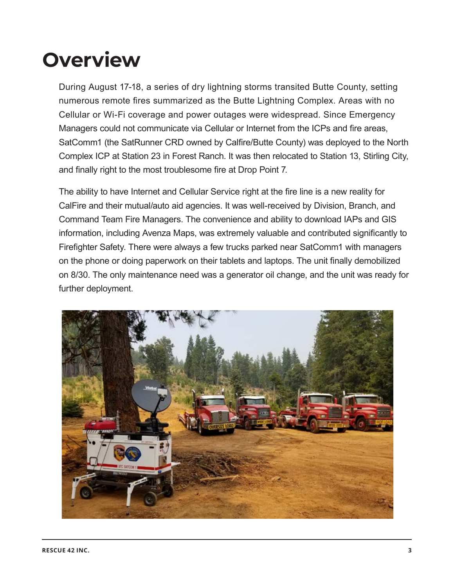## **Overview**

During August 17-18, a series of dry lightning storms transited Butte County, setting numerous remote fires summarized as the Butte Lightning Complex. Areas with no Cellular or Wi-Fi coverage and power outages were widespread. Since Emergency Managers could not communicate via Cellular or Internet from the ICPs and fire areas, SatComm1 (the SatRunner CRD owned by Calfire/Butte County) was deployed to the North Complex ICP at Station 23 in Forest Ranch. It was then relocated to Station 13, Stirling City, and finally right to the most troublesome fire at Drop Point 7.

The ability to have Internet and Cellular Service right at the fire line is a new reality for CalFire and their mutual/auto aid agencies. It was well-received by Division, Branch, and Command Team Fire Managers. The convenience and ability to download IAPs and GIS information, including Avenza Maps, was extremely valuable and contributed significantly to Firefighter Safety. There were always a few trucks parked near SatComm1 with managers on the phone or doing paperwork on their tablets and laptops. The unit finally demobilized on 8/30. The only maintenance need was a generator oil change, and the unit was ready for further deployment.

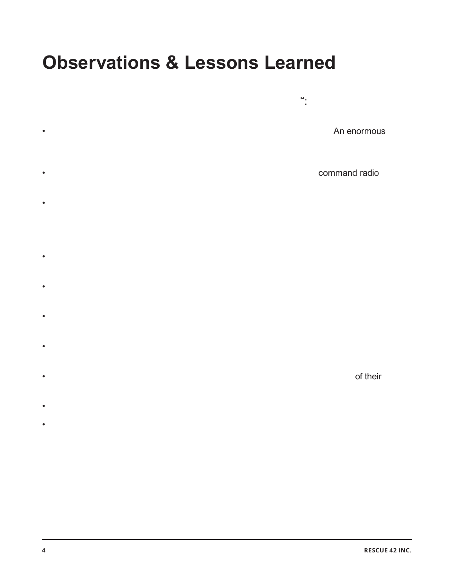## **Observations & Lessons Learned**

Numerous comments and observations were made by fre line and Command Team Managers about the SatRunner CRD™:

- Having Cellular and Internet connectivity right at the fre line is a game changer. An enormous amount of time was saved by not having to drive hours to make a Cellular call, check email, get IAPs and maps, place an order or fill out documents on the web/cloud.
- Trying to handle complex or detailed tra f c over spotty and impacted command radio channels is always a problem. The SatRunner CRD completely eliminated this problem.
- Some Fire personnel showed up at the fre without IAPs and maps. Having the ability to download them at the fre onto Cellular phones and tablets is a significant safety beneft. The Avenza Map App was widely used, and incoming units who did not have the App were able to download it along with the map packs to use this powerful tool.
- Logistics is particularly communication heavy, and Logistics personnel were extremely pleased with the convenience of Cellular service and email/web access at the fire.
- Several managers asked if a SatRunner CRD could be deployed at each fre or possibly at each Branch within a major fire. The answer is yes - if requested.
- The cost of rental is minimal for CalFire compared to the value. Satellite data usage for the 14-day deployment was 5 GB, at a total satellite data cost of \$375.
- Satellite supplied Internet speed was 26 Mbps throughout the deployment. As a comparison, the average Internet speed of a DSL system is 6 Mbps.
- SatCom1 allowed all commercial cellular users access to Wi-Fi calling, regardless of their carrier.
- SatCom1 set-up and break-down time was less than 10 minutes by a single person.
- The generator uses 2.5 gallons of gas a day and carries 7 gallons onboard. Logistics supply trucks carried a gas can and topped of the auto-feed auxiliary tank each time they delivered supplies to the drop point. If deployed remotely, Engines and Water Tenders could all contribute a bit of straight gas to sustain operations.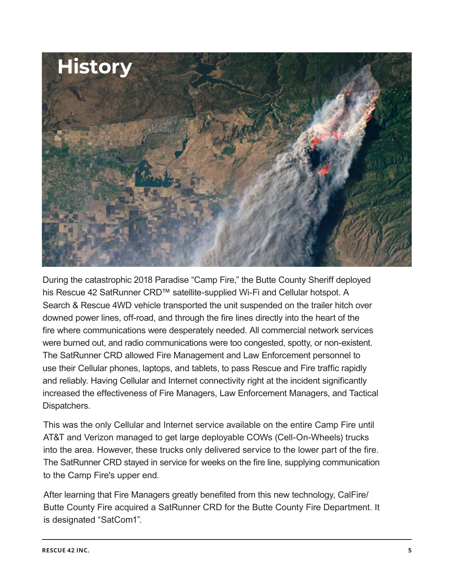

During the catastrophic 2018 Paradise "Camp Fire," the Butte County Sheriff deployed his Rescue 42 SatRunner CRD™ satellite-supplied Wi-Fi and Cellular hotspot. A Search & Rescue 4WD vehicle transported the unit suspended on the trailer hitch over downed power lines, off-road, and through the fire lines directly into the heart of the fire where communications were desperately needed. All commercial network services were burned out, and radio communications were too congested, spotty, or non-existent. The SatRunner CRD allowed Fire Management and Law Enforcement personnel to use their Cellular phones, laptops, and tablets, to pass Rescue and Fire traffic rapidly and reliably. Having Cellular and Internet connectivity right at the incident significantly increased the effectiveness of Fire Managers, Law Enforcement Managers, and Tactical Dispatchers.

This was the only Cellular and Internet service available on the entire Camp Fire until AT&T and Verizon managed to get large deployable COWs (Cell-On-Wheels) trucks into the area. However, these trucks only delivered service to the lower part of the fire. The SatRunner CRD stayed in service for weeks on the fire line, supplying communication to the Camp Fire's upper end.

After learning that Fire Managers greatly benefited from this new technology, CalFire/ Butte County Fire acquired a SatRunner CRD for the Butte County Fire Department. It is designated "SatCom1".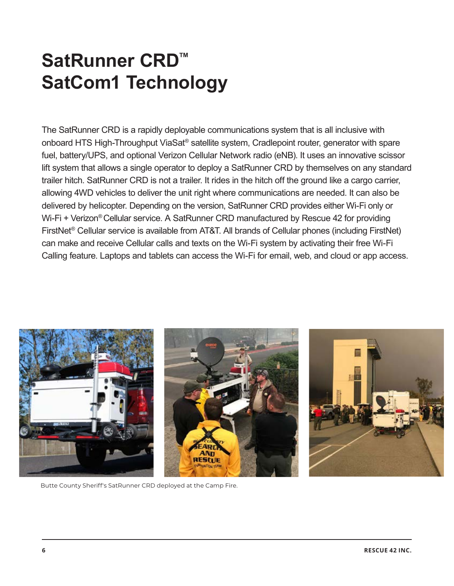## **SatRunner CRD™ SatCom1 Technology**

The SatRunner CRD is a rapidly deployable communications system that is all inclusive with onboard HTS High-Throughput ViaSat® satellite system, Cradlepoint router, generator with spare fuel, battery/UPS, and optional Verizon Cellular Network radio (eNB). It uses an innovative scissor lift system that allows a single operator to deploy a SatRunner CRD by themselves on any standard trailer hitch. SatRunner CRD is not a trailer. It rides in the hitch off the ground like a cargo carrier, allowing 4WD vehicles to deliver the unit right where communications are needed. It can also be delivered by helicopter. Depending on the version, SatRunner CRD provides either Wi-Fi only or Wi-Fi + Verizon<sup>®</sup> Cellular service. A SatRunner CRD manufactured by Rescue 42 for providing FirstNet® Cellular service is available from AT&T. All brands of Cellular phones (including FirstNet) can make and receive Cellular calls and texts on the Wi-Fi system by activating their free Wi-Fi Calling feature. Laptops and tablets can access the Wi-Fi for email, web, and cloud or app access.



Butte County Sheriff's SatRunner CRD deployed at the Camp Fire.